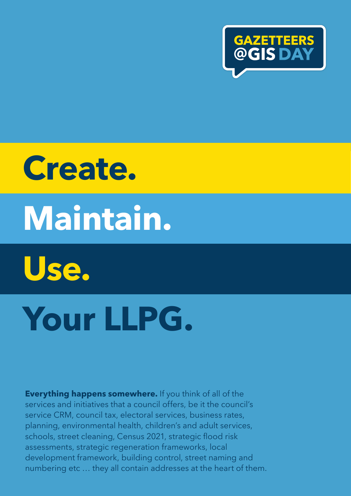

# **Create. Maintain. Use. Your LLPG.**

**Everything happens somewhere.** If you think of all of the services and initiatives that a council offers, be it the council's service CRM, council tax, electoral services, business rates, planning, environmental health, children's and adult services, schools, street cleaning, Census 2021, strategic flood risk assessments, strategic regeneration frameworks, local development framework, building control, street naming and numbering etc … they all contain addresses at the heart of them.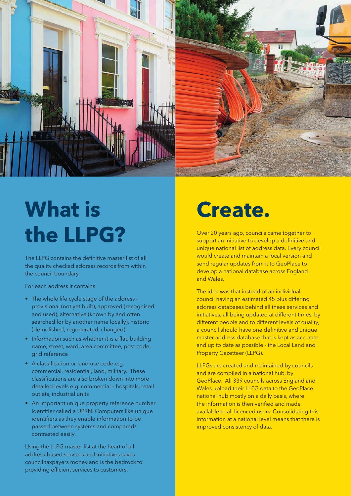

# **What is the LLPG?**

The LLPG contains the definitive master list of all the quality checked address records from within the council boundary.

For each address it contains:

- The whole life cycle stage of the address provisional (not yet built), approved (recognised and used), alternative (known by and often searched for by another name locally), historic (demolished, regenerated, changed)
- Information such as whether it is a flat, building name, street, ward, area committee, post code, grid reference
- A classification or land use code e.g. commercial, residential, land, military. These classifications are also broken down into more detailed levels e.g. commercial – hospitals, retail outlets, industrial units
- An important unique property reference number identifier called a UPRN. Computers like unique identifiers as they enable information to be passed between systems and compared/ contrasted easily.

Using the LLPG master list at the heart of all address-based services and initiatives saves council taxpayers money and is the bedrock to providing efficient services to customers.

### **Create.**

Over 20 years ago, councils came together to support an initiative to develop a definitive and unique national list of address data. Every council would create and maintain a local version and send regular updates from it to GeoPlace to develop a national database across England and Wales.

The idea was that instead of an individual council having an estimated 45 plus differing address databases behind all these services and initiatives, all being updated at different times, by different people and to different levels of quality, a council should have one definitive and unique master address database that is kept as accurate and up to date as possible - the Local Land and Property Gazetteer (LLPG).

LLPGs are created and maintained by councils and are compiled in a national hub, by GeoPlace. All 339 councils across England and Wales upload their LLPG data to the GeoPlace national hub mostly on a daily basis, where the information is then verified and made available to all licenced users. Consolidating this information at a national level means that there is improved consistency of data.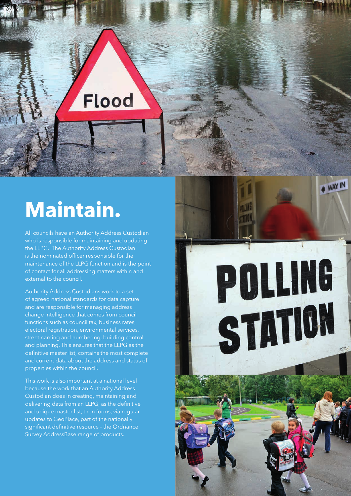#### **Flood**

# **Maintain.**

All councils have an Authority Address Custodian who is responsible for maintaining and updating the LLPG. The Authority Address Custodian is the nominated officer responsible for the maintenance of the LLPG function and is the point of contact for all addressing matters within and external to the council.

Authority Address Custodians work to a set of agreed national standards for data capture and are responsible for managing address change intelligence that comes from council functions such as council tax, business rates, electoral registration, environmental services, street naming and numbering, building control and planning. This ensures that the LLPG as the definitive master list, contains the most complete and current data about the address and status of properties within the council.

This work is also important at a national level because the work that an Authority Address Custodian does in creating, maintaining and delivering data from an LLPG, as the definitive and unique master list, then forms, via regular updates to GeoPlace, part of the nationally significant definitive resource - the Ordnance Survey AddressBase range of products.